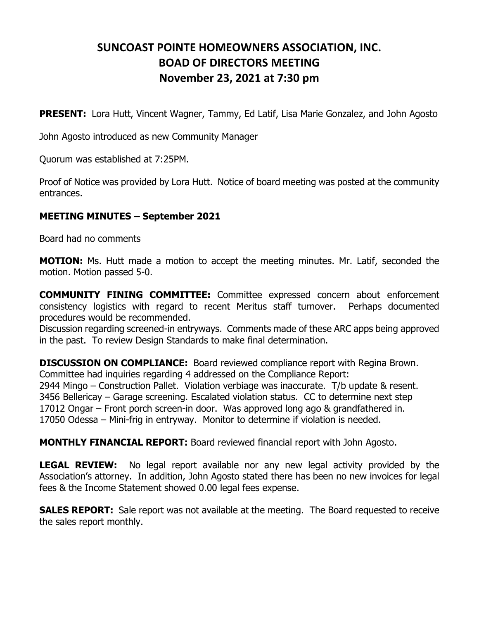## **SUNCOAST POINTE HOMEOWNERS ASSOCIATION, INC. BOAD OF DIRECTORS MEETING November 23, 2021 at 7:30 pm**

**PRESENT:** Lora Hutt, Vincent Wagner, Tammy, Ed Latif, Lisa Marie Gonzalez, and John Agosto

John Agosto introduced as new Community Manager

Quorum was established at 7:25PM.

Proof of Notice was provided by Lora Hutt. Notice of board meeting was posted at the community entrances.

## **MEETING MINUTES – September 2021**

Board had no comments

**MOTION:** Ms. Hutt made a motion to accept the meeting minutes. Mr. Latif, seconded the motion. Motion passed 5-0.

**COMMUNITY FINING COMMITTEE:** Committee expressed concern about enforcement consistency logistics with regard to recent Meritus staff turnover. Perhaps documented procedures would be recommended.

Discussion regarding screened-in entryways. Comments made of these ARC apps being approved in the past. To review Design Standards to make final determination.

**DISCUSSION ON COMPLIANCE:** Board reviewed compliance report with Regina Brown. Committee had inquiries regarding 4 addressed on the Compliance Report: 2944 Mingo – Construction Pallet. Violation verbiage was inaccurate. T/b update & resent. 3456 Bellericay – Garage screening. Escalated violation status. CC to determine next step 17012 Ongar – Front porch screen-in door. Was approved long ago & grandfathered in. 17050 Odessa – Mini-frig in entryway. Monitor to determine if violation is needed.

**MONTHLY FINANCIAL REPORT:** Board reviewed financial report with John Agosto.

**LEGAL REVIEW:** No legal report available nor any new legal activity provided by the Association's attorney. In addition, John Agosto stated there has been no new invoices for legal fees & the Income Statement showed 0.00 legal fees expense.

**SALES REPORT:** Sale report was not available at the meeting. The Board requested to receive the sales report monthly.